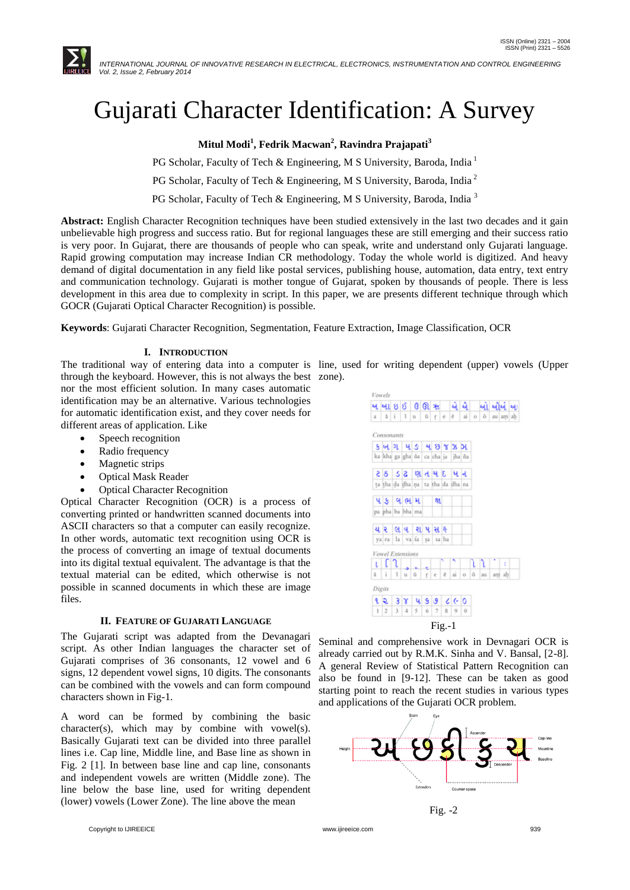

# Gujarati Character Identification: A Survey

**Mitul Modi<sup>1</sup> , Fedrik Macwan<sup>2</sup> , Ravindra Prajapati<sup>3</sup>**

PG Scholar, Faculty of Tech & Engineering, M S University, Baroda, India<sup>1</sup>

PG Scholar, Faculty of Tech & Engineering, M S University, Baroda, India<sup>2</sup>

PG Scholar, Faculty of Tech & Engineering, M S University, Baroda, India<sup>3</sup>

**Abstract:** English Character Recognition techniques have been studied extensively in the last two decades and it gain unbelievable high progress and success ratio. But for regional languages these are still emerging and their success ratio is very poor. In Gujarat, there are thousands of people who can speak, write and understand only Gujarati language. Rapid growing computation may increase Indian CR methodology. Today the whole world is digitized. And heavy demand of digital documentation in any field like postal services, publishing house, automation, data entry, text entry and communication technology. Gujarati is mother tongue of Gujarat, spoken by thousands of people. There is less development in this area due to complexity in script. In this paper, we are presents different technique through which GOCR (Gujarati Optical Character Recognition) is possible.

**Keywords**: Gujarati Character Recognition, Segmentation, Feature Extraction, Image Classification, OCR

#### **I. INTRODUCTION**

The traditional way of entering data into a computer is line, used for writing dependent (upper) vowels (Upper through the keyboard. However, this is not always the best zone).

Vowels

nor the most efficient solution. In many cases automatic identification may be an alternative. Various technologies for automatic identification exist, and they cover needs for different areas of application. Like

- Speech recognition
- Radio frequency
- Magnetic strips
- Optical Mask Reader
- Optical Character Recognition

Optical Character Recognition (OCR) is a process of converting printed or handwritten scanned documents into ASCII characters so that a computer can easily recognize. In other words, automatic text recognition using OCR is the process of converting an image of textual documents into its digital textual equivalent. The advantage is that the textual material can be edited, which otherwise is not possible in scanned documents in which these are image files.

# **II. FEATURE OF GUJARATI LANGUAGE**

The Gujarati script was adapted from the Devanagari script. As other Indian languages the character set of Gujarati comprises of 36 consonants, 12 vowel and 6 signs, 12 dependent vowel signs, 10 digits. The consonants can be combined with the vowels and can form compound characters shown in Fig-1.

A word can be formed by combining the basic character(s), which may by combine with vowel(s). Basically Gujarati text can be divided into three parallel lines i.e. Cap line, Middle line, and Base line as shown in Fig. 2 [1]. In between base line and cap line, consonants and independent vowels are written (Middle zone). The line below the base line, used for writing dependent (lower) vowels (Lower Zone). The line above the mean



Seminal and comprehensive work in Devnagari OCR is already carried out by R.M.K. Sinha and V. Bansal, [2-8]. A general Review of Statistical Pattern Recognition can also be found in [9-12]. These can be taken as good starting point to reach the recent studies in various types and applications of the Gujarati OCR problem.





Copyright to IJIREEICE [www.ijireeice.com](http://www.ijireeice.com/) 939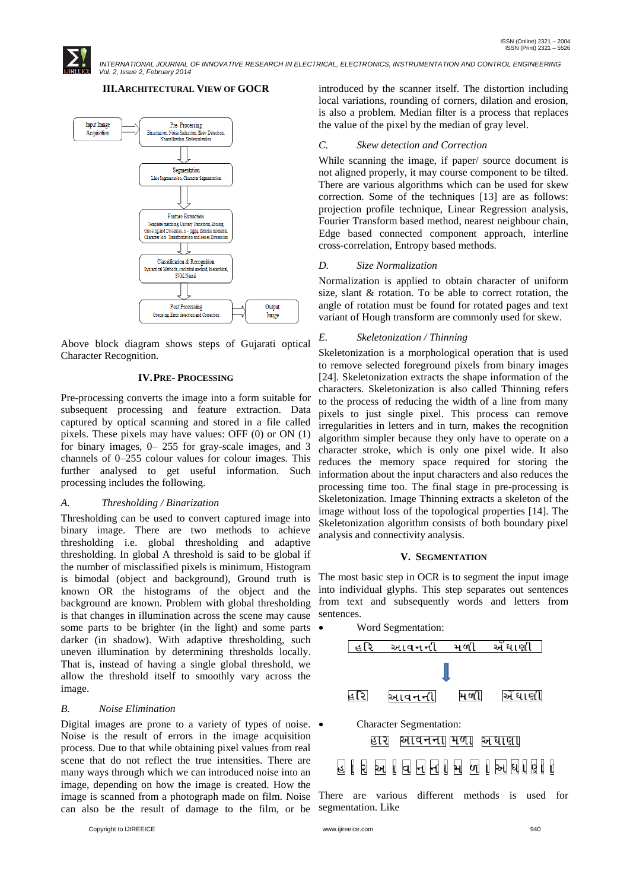

## **III.ARCHITECTURAL VIEW OF GOCR**



Above block diagram shows steps of Gujarati optical Character Recognition.

# **IV.PRE- PROCESSING**

Pre-processing converts the image into a form suitable for subsequent processing and feature extraction. Data captured by optical scanning and stored in a file called pixels. These pixels may have values: OFF (0) or ON (1) for binary images, 0– 255 for gray-scale images, and 3 channels of 0–255 colour values for colour images. This further analysed to get useful information. Such processing includes the following.

### *A. Thresholding / Binarization*

Thresholding can be used to convert captured image into binary image. There are two methods to achieve thresholding i.e. global thresholding and adaptive thresholding. In global A threshold is said to be global if the number of misclassified pixels is minimum, Histogram is bimodal (object and background), Ground truth is known OR the histograms of the object and the background are known. Problem with global thresholding is that changes in illumination across the scene may cause some parts to be brighter (in the light) and some parts darker (in shadow). With adaptive thresholding, such uneven illumination by determining thresholds locally. That is, instead of having a single global threshold, we allow the threshold itself to smoothly vary across the image.

#### *B. Noise Elimination*

Digital images are prone to a variety of types of noise.  $\bullet$ Noise is the result of errors in the image acquisition process. Due to that while obtaining pixel values from real scene that do not reflect the true intensities. There are many ways through which we can introduced noise into an image, depending on how the image is created. How the image is scanned from a photograph made on film. Noise There are various different methods is used for can also be the result of damage to the film, or be segmentation. Like

introduced by the scanner itself. The distortion including local variations, rounding of corners, dilation and erosion, is also a problem. Median filter is a process that replaces the value of the pixel by the median of gray level.

#### *C. Skew detection and Correction*

While scanning the image, if paper/ source document is not aligned properly, it may course component to be tilted. There are various algorithms which can be used for skew correction. Some of the techniques [13] are as follows: projection profile technique, Linear Regression analysis, Fourier Transform based method, nearest neighbour chain, Edge based connected component approach, interline cross-correlation, Entropy based methods.

#### *D. Size Normalization*

Normalization is applied to obtain character of uniform size, slant & rotation. To be able to correct rotation, the angle of rotation must be found for rotated pages and text variant of Hough transform are commonly used for skew.

#### *E. Skeletonization / Thinning*

Skeletonization is a morphological operation that is used to remove selected foreground pixels from binary images [24]. Skeletonization extracts the shape information of the characters. Skeletonization is also called Thinning refers to the process of reducing the width of a line from many pixels to just single pixel. This process can remove irregularities in letters and in turn, makes the recognition algorithm simpler because they only have to operate on a character stroke, which is only one pixel wide. It also reduces the memory space required for storing the information about the input characters and also reduces the processing time too. The final stage in pre-processing is Skeletonization. Image Thinning extracts a skeleton of the image without loss of the topological properties [14]. The Skeletonization algorithm consists of both boundary pixel analysis and connectivity analysis.

#### **V. SEGMENTATION**

The most basic step in OCR is to segment the input image into individual glyphs. This step separates out sentences from text and subsequently words and letters from sentences.

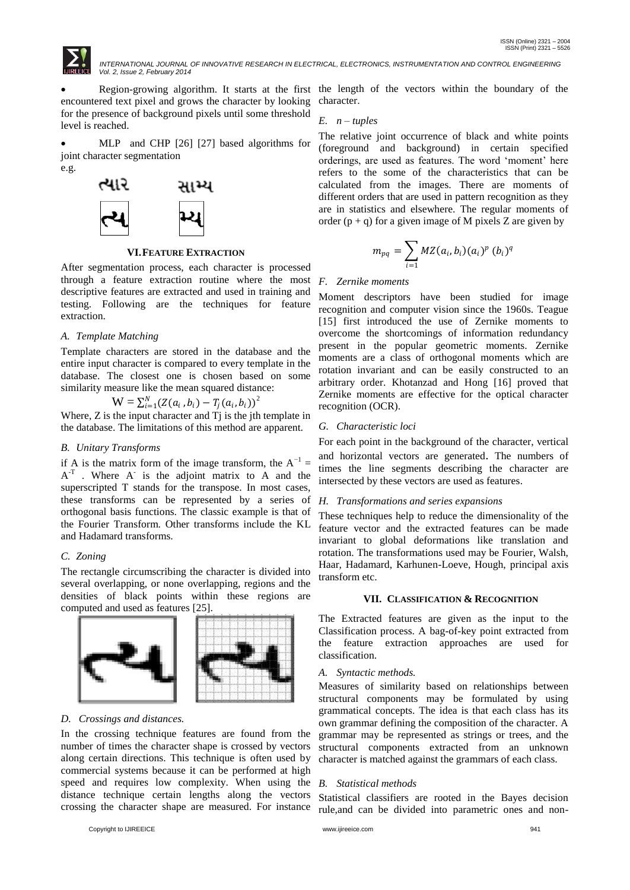

encountered text pixel and grows the character by looking for the presence of background pixels until some threshold level is reached.

 MLP and CHP [26] [27] based algorithms for joint character segmentation e.g.



# **VI.FEATURE EXTRACTION**

After segmentation process, each character is processed through a feature extraction routine where the most descriptive features are extracted and used in training and testing. Following are the techniques for feature extraction.

### *A. Template Matching*

Template characters are stored in the database and the entire input character is compared to every template in the database. The closest one is chosen based on some similarity measure like the mean squared distance:

$$
W = \sum_{i=1}^{N} (Z(a_i, b_i) - T_j(a_i, b_i))^2
$$

Where, Z is the input character and T<sub>i</sub> is the jth template in the database. The limitations of this method are apparent.

#### *B. Unitary Transforms*

if A is the matrix form of the image transform, the  $A^{-1}$ =  $A<sup>T</sup>$ . Where  $A<sup>T</sup>$  is the adjoint matrix to A and the superscripted T stands for the transpose. In most cases, these transforms can be represented by a series of orthogonal basis functions. The classic example is that of the Fourier Transform. Other transforms include the KL and Hadamard transforms.

### *C. Zoning*

The rectangle circumscribing the character is divided into several overlapping, or none overlapping, regions and the densities of black points within these regions are computed and used as features [25].



# *D. Crossings and distances.*

In the crossing technique features are found from the number of times the character shape is crossed by vectors along certain directions. This technique is often used by commercial systems because it can be performed at high speed and requires low complexity. When using the distance technique certain lengths along the vectors crossing the character shape are measured. For instance

 Region-growing algorithm. It starts at the first the length of the vectors within the boundary of the character.

#### *E. n – tuples*

The relative joint occurrence of black and white points (foreground and background) in certain specified orderings, are used as features. The word "moment" here refers to the some of the characteristics that can be calculated from the images. There are moments of different orders that are used in pattern recognition as they are in statistics and elsewhere. The regular moments of order  $(p + q)$  for a given image of M pixels Z are given by

$$
m_{pq} = \sum_{i=1} MZ(a_i, b_i)(a_i)^p (b_i)^q
$$

#### *F. Zernike moments*

Moment descriptors have been studied for image recognition and computer vision since the 1960s. Teague [15] first introduced the use of Zernike moments to overcome the shortcomings of information redundancy present in the popular geometric moments. Zernike moments are a class of orthogonal moments which are rotation invariant and can be easily constructed to an arbitrary order. Khotanzad and Hong [16] proved that Zernike moments are effective for the optical character recognition (OCR).

#### *G. Characteristic loci*

For each point in the background of the character, vertical and horizontal vectors are generated. The numbers of times the line segments describing the character are intersected by these vectors are used as features.

#### *H. Transformations and series expansions*

These techniques help to reduce the dimensionality of the feature vector and the extracted features can be made invariant to global deformations like translation and rotation. The transformations used may be Fourier, Walsh, Haar, Hadamard, Karhunen-Loeve, Hough, principal axis transform etc.

#### **VII. CLASSIFICATION & RECOGNITION**

The Extracted features are given as the input to the Classification process. A bag-of-key point extracted from the feature extraction approaches are used for classification.

#### *A. Syntactic methods.*

Measures of similarity based on relationships between structural components may be formulated by using grammatical concepts. The idea is that each class has its own grammar defining the composition of the character. A grammar may be represented as strings or trees, and the structural components extracted from an unknown character is matched against the grammars of each class.

#### *B. Statistical methods*

Statistical classifiers are rooted in the Bayes decision rule,and can be divided into parametric ones and non-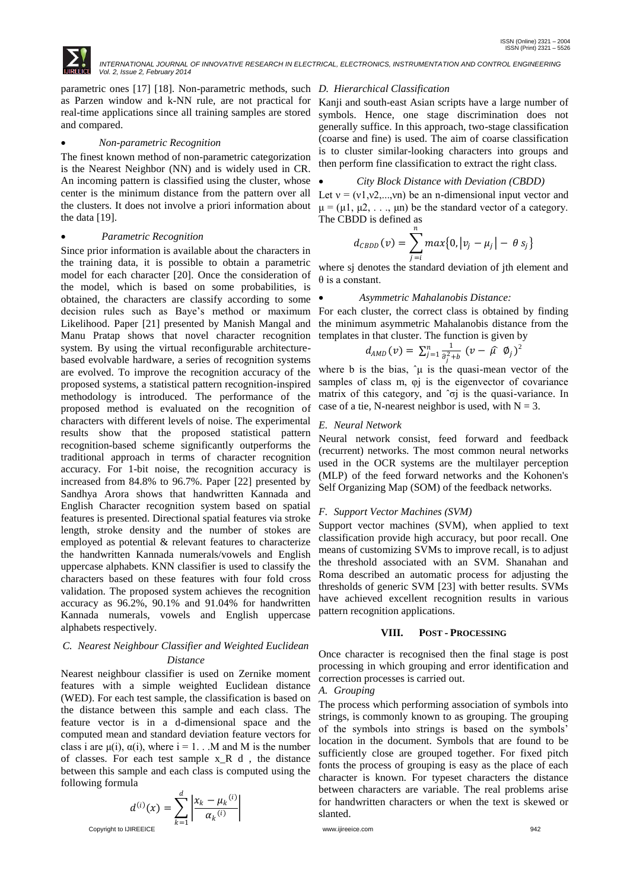

parametric ones [17] [18]. Non-parametric methods, such *D. Hierarchical Classification* as Parzen window and k-NN rule, are not practical for real-time applications since all training samples are stored and compared.

#### *Non-parametric Recognition*

The finest known method of non-parametric categorization is the Nearest Neighbor (NN) and is widely used in CR. An incoming pattern is classified using the cluster, whose center is the minimum distance from the pattern over all the clusters. It does not involve a priori information about the data [19].

### *Parametric Recognition*

Since prior information is available about the characters in the training data, it is possible to obtain a parametric model for each character [20]. Once the consideration of the model, which is based on some probabilities, is obtained, the characters are classify according to some decision rules such as Baye"s method or maximum Likelihood. Paper [21] presented by Manish Mangal and Manu Pratap shows that novel character recognition system. By using the virtual reconfigurable architecturebased evolvable hardware, a series of recognition systems are evolved. To improve the recognition accuracy of the proposed systems, a statistical pattern recognition-inspired methodology is introduced. The performance of the proposed method is evaluated on the recognition of characters with different levels of noise. The experimental results show that the proposed statistical pattern recognition-based scheme significantly outperforms the traditional approach in terms of character recognition accuracy. For 1-bit noise, the recognition accuracy is increased from 84.8% to 96.7%. Paper [22] presented by Sandhya Arora shows that handwritten Kannada and English Character recognition system based on spatial features is presented. Directional spatial features via stroke length, stroke density and the number of stokes are employed as potential & relevant features to characterize the handwritten Kannada numerals/vowels and English uppercase alphabets. KNN classifier is used to classify the characters based on these features with four fold cross validation. The proposed system achieves the recognition accuracy as 96.2%, 90.1% and 91.04% for handwritten Kannada numerals, vowels and English uppercase alphabets respectively.

#### *C. Nearest Neighbour Classifier and Weighted Euclidean Distance*

Nearest neighbour classifier is used on Zernike moment features with a simple weighted Euclidean distance (WED). For each test sample, the classification is based on the distance between this sample and each class. The feature vector is in a d-dimensional space and the computed mean and standard deviation feature vectors for class i are  $\mu(i)$ ,  $\alpha(i)$ , where  $i = 1$ . . M and M is the number of classes. For each test sample  $x \, R \, d$ , the distance between this sample and each class is computed using the following formula

$$
d^{(i)}(x) = \sum_{k=1}^{d} \left| \frac{x_k - \mu_k^{(i)}}{\alpha_k^{(i)}} \right|
$$
 between characters are variance. The real problem for handwritten characters or when the text is skew-  
slanted.

Kanji and south-east Asian scripts have a large number of symbols. Hence, one stage discrimination does not generally suffice. In this approach, two-stage classification (coarse and fine) is used. The aim of coarse classification is to cluster similar-looking characters into groups and then perform fine classification to extract the right class.

#### *City Block Distance with Deviation (CBDD)*

Let  $v = (v_1, v_2, \ldots, v_n)$  be an n-dimensional input vector and  $\mu = (\mu 1, \mu 2, \dots, \mu n)$  be the standard vector of a category. The CBDD is defined as

$$
d_{\text{CBDD}}(v) = \sum_{j=i}^{n} \max\{0, |v_j - \mu_j| - \theta s_j\}
$$

where sj denotes the standard deviation of jth element and θ is a constant.

#### *Asymmetric Mahalanobis Distance:*

For each cluster, the correct class is obtained by finding the minimum asymmetric Mahalanobis distance from the templates in that cluster. The function is given by

$$
d_{AMD}(v) = \sum_{j=1}^n \frac{1}{\hat{\sigma}_j^2 + b} (v - \hat{\mu} \phi_j)^2
$$

where b is the bias,  $\hat{\mu}$  is the quasi-mean vector of the samples of class m, φj is the eigenvector of covariance matrix of this category, and ˆσj is the quasi-variance. In case of a tie, N-nearest neighbor is used, with  $N = 3$ .

#### *E. Neural Network*

Neural network consist, feed forward and feedback (recurrent) networks. The most common neural networks used in the OCR systems are the multilayer perception (MLP) of the feed forward networks and the Kohonen's Self Organizing Map (SOM) of the feedback networks.

### *F. Support Vector Machines (SVM)*

Support vector machines (SVM), when applied to text classification provide high accuracy, but poor recall. One means of customizing SVMs to improve recall, is to adjust the threshold associated with an SVM. Shanahan and Roma described an automatic process for adjusting the thresholds of generic SVM [23] with better results. SVMs have achieved excellent recognition results in various pattern recognition applications.

#### **VIII. POST - PROCESSING**

Once character is recognised then the final stage is post processing in which grouping and error identification and correction processes is carried out.

#### *A. Grouping*

The process which performing association of symbols into strings, is commonly known to as grouping. The grouping of the symbols into strings is based on the symbols" location in the document. Symbols that are found to be sufficiently close are grouped together. For fixed pitch fonts the process of grouping is easy as the place of each character is known. For typeset characters the distance between characters are variable. The real problems arise for handwritten characters or when the text is skewed or slanted.